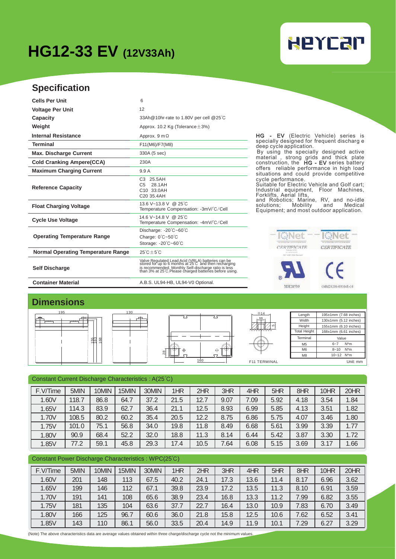## **HG12-33 EV (12V33Ah)**

# **HEYCAP**

### **Specification**

| <b>Cells Per Unit</b>                     | 6                                                                                                                                                                                                                            |
|-------------------------------------------|------------------------------------------------------------------------------------------------------------------------------------------------------------------------------------------------------------------------------|
| <b>Voltage Per Unit</b>                   | 12                                                                                                                                                                                                                           |
| Capacity                                  | 33Ah@10hr-rate to 1.80V per cell @25°C                                                                                                                                                                                       |
| Weight                                    | Approx. 10.2 Kg (Tolerance $\pm$ 3%)                                                                                                                                                                                         |
| <b>Internal Resistance</b>                | Approx. $9 \text{ m } \Omega$                                                                                                                                                                                                |
| <b>Terminal</b>                           | F11(M6)/F7(M8)                                                                                                                                                                                                               |
| <b>Max. Discharge Current</b>             | 330A (5 sec)                                                                                                                                                                                                                 |
| <b>Cold Cranking Ampere(CCA)</b>          | 230A                                                                                                                                                                                                                         |
| <b>Maximum Charging Current</b>           | 9.9 A                                                                                                                                                                                                                        |
| <b>Reference Capacity</b>                 | C <sub>3</sub><br>25.5AH<br>28.1AH<br>C <sub>5</sub><br>C10 33.0AH<br>C <sub>20</sub> 35.4AH                                                                                                                                 |
| <b>Float Charging Voltage</b>             | 13.6 V~13.8 V @ 25°C<br>Temperature Compensation: -3mV/°C/Cell                                                                                                                                                               |
| <b>Cycle Use Voltage</b>                  | 14 6 V~14 8 V @ 25 °C<br>Temperature Compensation: -4mV/°C/Cell                                                                                                                                                              |
| <b>Operating Temperature Range</b>        | Discharge: $-20^{\circ}$ C $-60^{\circ}$ C<br>Charge: 0°C~50°C<br>Storage: $-20^{\circ}$ C $-60^{\circ}$ C                                                                                                                   |
| <b>Normal Operating Temperature Range</b> | $25^{\circ}$ C + 5 $^{\circ}$ C                                                                                                                                                                                              |
| <b>Self Discharge</b>                     | Valve Regulated Lead Acid (VRLA) batteries can be<br>stored for up to 6 months at 25 C and then recharging<br>is recommended. Monthly Self-discharge ratio is less<br>than 3% at 25 C.Please charged batteries before using. |
| <b>Container Material</b>                 | A.B.S. UL94-HB, UL94-V0 Optional.                                                                                                                                                                                            |

HG - EV (Electric Vehicle) series is specially designed for frequent discharg e deep cycle application.

By using the specially designed active material , strong grids and thick plate construction, the HG - EV series battery offers reliable performance in high load situations and could provide competitive cycle performance. Suitable for Electric Vehicle and Golf cart;

Industrial equipment, Floor Machines,<br>Forklifts, Aerial lifts,<br>and Robotics; Marine, RV, and no-idle<br>solutions; Mobility and Medical<br>Equipment; and most outdoor application.



### **Dimensions**



#### Constant Current Discharge Characteristics : A(25℃)

| 55<br>68                                                                                                                      |       |       |       |       |             |                          |                         |      |                | remmar<br>value |          |                     |
|-------------------------------------------------------------------------------------------------------------------------------|-------|-------|-------|-------|-------------|--------------------------|-------------------------|------|----------------|-----------------|----------|---------------------|
|                                                                                                                               |       |       |       |       |             |                          |                         |      | M <sub>5</sub> | $6 - 7$         | $N^*m$   |                     |
|                                                                                                                               |       |       |       | 28    | $_{\oplus}$ |                          | $\leftrightarrow$<br>57 |      |                | M <sub>6</sub>  | $8 - 10$ | $N^*m$<br>10~12 N*m |
|                                                                                                                               |       |       |       |       |             | 160                      |                         |      |                | M8              |          |                     |
|                                                                                                                               |       |       |       |       |             | F11 TERMINAL<br>Unit: mm |                         |      |                |                 |          |                     |
|                                                                                                                               |       |       |       |       |             |                          |                         |      |                |                 |          |                     |
| Constant Current Discharge Characteristics : A(25°C)                                                                          |       |       |       |       |             |                          |                         |      |                |                 |          |                     |
|                                                                                                                               |       |       |       |       |             |                          |                         |      |                |                 |          |                     |
| F.V/Time                                                                                                                      | 5MIN  | 10MIN | 15MIN | 30MIN | 1HR         | 2HR                      | 3HR                     | 4HR  | 5HR            | 8HR             | 10HR     | 20HR                |
| 1.60V                                                                                                                         | 118.7 | 86.8  | 64.7  | 37.2  | 21.5        | 12.7                     | 9.07                    | 7.09 | 5.92           | 4.18            | 3.54     | 1.84                |
| 1.65V                                                                                                                         | 114.3 | 83.9  | 62.7  | 36.4  | 21.1        | 12.5                     | 8.93                    | 6.99 | 5.85           | 4.13            | 3.51     | 1.82                |
| 1.70V                                                                                                                         | 108.5 | 80.2  | 60.2  | 35.4  | 20.5        | 12.2                     | 8.75                    | 6.86 | 5.75           | 4.07            | 3.46     | 1.80                |
| 1.75V                                                                                                                         | 101.0 | 75.1  | 56.8  | 34.0  | 19.8        | 11.8                     | 8.49                    | 6.68 | 5.61           | 3.99            | 3.39     | 1.77                |
| 1.80V                                                                                                                         | 90.9  | 68.4  | 52.2  | 32.0  | 18.8        | 11.3                     | 8.14                    | 6.44 | 5.42           | 3.87            | 3.30     | 1.72                |
| 1.85V                                                                                                                         | 77.2  | 59.1  | 45.8  | 29.3  | 17.4        | 10.5                     | 7.64                    | 6.08 | 5.15           | 3.69            | 3.17     | 1.66                |
|                                                                                                                               |       |       |       |       |             |                          |                         |      |                |                 |          |                     |
| Constant Power Discharge Characteristics: WPC(25°C)                                                                           |       |       |       |       |             |                          |                         |      |                |                 |          |                     |
| F.V/Time                                                                                                                      | 5MIN  | 10MIN | 15MIN | 30MIN | 1HR         | 2HR                      | 3HR                     | 4HR  | 5HR            | 8HR             | 10HR     | 20HR                |
| 1.60V                                                                                                                         | 201   | 148   | 113   | 67.5  | 40.2        | 24.1                     | 17.3                    | 13.6 | 11.4           | 8.17            | 6.96     | 3.62                |
| 1.65V                                                                                                                         | 199   | 146   | 112   | 67.1  | 39.8        | 23.9                     | 17.2                    | 13.5 | 11.3           | 8.10            | 6.91     | 3.59                |
| 1.70V                                                                                                                         | 191   | 141   | 108   | 65.6  | 38.9        | 23.4                     | 16.8                    | 13.3 | 11.2           | 7.99            | 6.82     | 3.55                |
| 1.75V                                                                                                                         | 181   | 135   | 104   | 63.6  | 37.7        | 22.7                     | 16.4                    | 13.0 | 10.9           | 7.83            | 6.70     | 3.49                |
| 1.80V                                                                                                                         | 166   | 125   | 96.7  | 60.6  | 36.0        | 21.8                     | 15.8                    | 12.5 | 10.6           | 7.62            | 6.52     | 3.41                |
|                                                                                                                               |       |       |       |       |             |                          |                         |      |                |                 |          |                     |
| 1.85V                                                                                                                         | 143   | 110   | 86.1  | 56.0  | 33.5        | 20.4                     | 14.9                    | 11.9 | 10.1           | 7.29            | 6.27     | 3.29                |
| (Note) The above characteristics data are average values obtained within three charge/discharge cycle not the minimum values, |       |       |       |       |             |                          |                         |      |                |                 |          |                     |

#### Constant Power Discharge Characteristics : WPC(25℃)

| F.V/Time     | 5MIN | 10MIN | 15MIN | 30MIN | 1HR  | 2HR  | 3HR  | 4HR  | 5HR  | 8HR  | 10HR | 20HR |
|--------------|------|-------|-------|-------|------|------|------|------|------|------|------|------|
| 1.60V        | 201  | 148   | 113   | 67.5  | 40.2 | 24.1 | 17.3 | 13.6 | 11.4 | 8.17 | 6.96 | 3.62 |
| 1.65V        | 199  | 146   | 112   | 67.   | 39.8 | 23.9 | 17.2 | 13.5 | 11.3 | 8.10 | 6.91 | 3.59 |
| 1.70V        | 191  | 141   | 108   | 65.6  | 38.9 | 23.4 | 16.8 | 13.3 | 11.2 | 7.99 | 6.82 | 3.55 |
| 1.75V        | 181  | 135   | 104   | 63.6  | 37.7 | 22.7 | 16.4 | 13.0 | 10.9 | 7.83 | 6.70 | 3.49 |
| .80V         | 166  | 125   | 96.7  | 60.6  | 36.0 | 21.8 | 15.8 | 12.5 | 10.6 | 7.62 | 6.52 | 3.41 |
| <b>1.85V</b> | 143  | 110   | 86.1  | 56.0  | 33.5 | 20.4 | 14.9 | 11.9 | 10.1 | 7.29 | 6.27 | 3.29 |